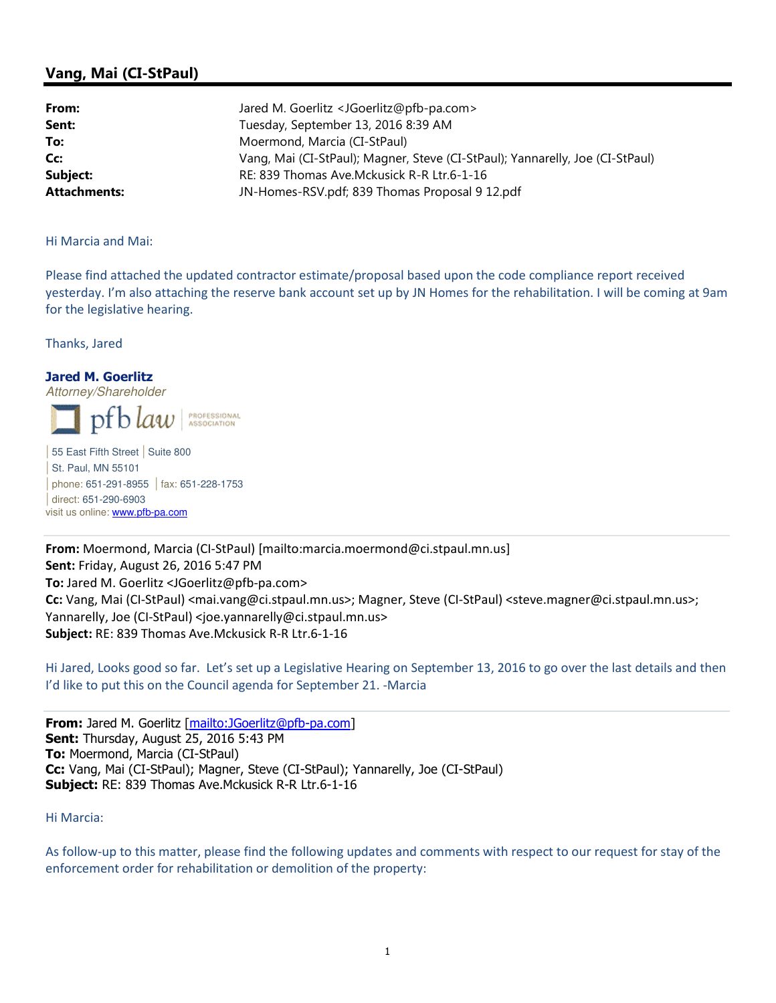# Vang, Mai (CI-StPaul)

| From:               | Jared M. Goerlitz <jgoerlitz@pfb-pa.com></jgoerlitz@pfb-pa.com>               |
|---------------------|-------------------------------------------------------------------------------|
| Sent:               | Tuesday, September 13, 2016 8:39 AM                                           |
| To:                 | Moermond, Marcia (CI-StPaul)                                                  |
| Cc:                 | Vang, Mai (CI-StPaul); Magner, Steve (CI-StPaul); Yannarelly, Joe (CI-StPaul) |
| Subject:            | RE: 839 Thomas Ave.Mckusick R-R Ltr.6-1-16                                    |
| <b>Attachments:</b> | JN-Homes-RSV.pdf; 839 Thomas Proposal 9 12.pdf                                |

### Hi Marcia and Mai:

Please find attached the updated contractor estimate/proposal based upon the code compliance report received yesterday. I'm also attaching the reserve bank account set up by JN Homes for the rehabilitation. I will be coming at 9am for the legislative hearing.

Thanks, Jared

### Jared M. Goerlitz

Attorney/Shareholder pf b law PROFESSIONAL<br>ASSOCIATION

| 55 East Fifth Street | Suite 800 | St. Paul, MN 55101 | phone: 651-291-8955 | fax: 651-228-1753 | direct: 651-290-6903 visit us online: www.pfb-pa.com

From: Moermond, Marcia (CI-StPaul) [mailto:marcia.moermond@ci.stpaul.mn.us] Sent: Friday, August 26, 2016 5:47 PM To: Jared M. Goerlitz <JGoerlitz@pfb-pa.com> Cc: Vang, Mai (CI-StPaul) <mai.vang@ci.stpaul.mn.us>; Magner, Steve (CI-StPaul) <steve.magner@ci.stpaul.mn.us>; Yannarelly, Joe (CI-StPaul) <joe.yannarelly@ci.stpaul.mn.us> Subject: RE: 839 Thomas Ave.Mckusick R-R Ltr.6-1-16

Hi Jared, Looks good so far. Let's set up a Legislative Hearing on September 13, 2016 to go over the last details and then I'd like to put this on the Council agenda for September 21. -Marcia

From: Jared M. Goerlitz [mailto:JGoerlitz@pfb-pa.com] Sent: Thursday, August 25, 2016 5:43 PM To: Moermond, Marcia (CI-StPaul) Cc: Vang, Mai (CI-StPaul); Magner, Steve (CI-StPaul); Yannarelly, Joe (CI-StPaul) **Subject:** RE: 839 Thomas Ave. Mckusick R-R Ltr. 6-1-16

### Hi Marcia:

As follow-up to this matter, please find the following updates and comments with respect to our request for stay of the enforcement order for rehabilitation or demolition of the property: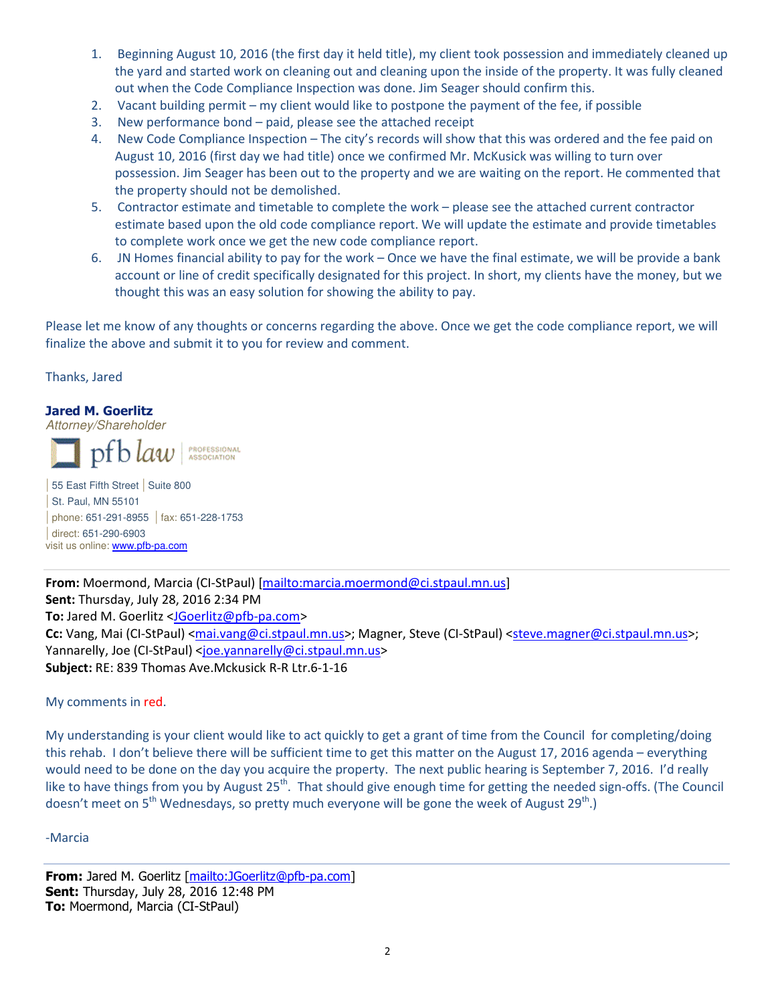- 1. Beginning August 10, 2016 (the first day it held title), my client took possession and immediately cleaned up the yard and started work on cleaning out and cleaning upon the inside of the property. It was fully cleaned out when the Code Compliance Inspection was done. Jim Seager should confirm this.
- 2. Vacant building permit my client would like to postpone the payment of the fee, if possible
- 3. New performance bond paid, please see the attached receipt
- 4. New Code Compliance Inspection The city's records will show that this was ordered and the fee paid on August 10, 2016 (first day we had title) once we confirmed Mr. McKusick was willing to turn over possession. Jim Seager has been out to the property and we are waiting on the report. He commented that the property should not be demolished.
- 5. Contractor estimate and timetable to complete the work please see the attached current contractor estimate based upon the old code compliance report. We will update the estimate and provide timetables to complete work once we get the new code compliance report.
- 6. JN Homes financial ability to pay for the work Once we have the final estimate, we will be provide a bank account or line of credit specifically designated for this project. In short, my clients have the money, but we thought this was an easy solution for showing the ability to pay.

Please let me know of any thoughts or concerns regarding the above. Once we get the code compliance report, we will finalize the above and submit it to you for review and comment.

Thanks, Jared

# Jared M. Goerlitz

Attorney/Shareholder

 $pfblaw$ **PROFESSIONAL**<br>ASSOCIATION

| 55 East Fifth Street | Suite 800 | St. Paul, MN 55101 | phone: 651-291-8955 | fax: 651-228-1753 | direct: 651-290-6903 visit us online: **www.pfb-pa.com** 

From: Moermond, Marcia (CI-StPaul) [mailto:marcia.moermond@ci.stpaul.mn.us] Sent: Thursday, July 28, 2016 2:34 PM To: Jared M. Goerlitz <JGoerlitz@pfb-pa.com> Cc: Vang, Mai (CI-StPaul) <mai.vang@ci.stpaul.mn.us>; Magner, Steve (CI-StPaul) <steve.magner@ci.stpaul.mn.us>; Yannarelly, Joe (CI-StPaul) <joe.yannarelly@ci.stpaul.mn.us> Subject: RE: 839 Thomas Ave.Mckusick R-R Ltr.6-1-16

### My comments in red.

My understanding is your client would like to act quickly to get a grant of time from the Council for completing/doing this rehab. I don't believe there will be sufficient time to get this matter on the August 17, 2016 agenda – everything would need to be done on the day you acquire the property. The next public hearing is September 7, 2016. I'd really like to have things from you by August 25<sup>th</sup>. That should give enough time for getting the needed sign-offs. (The Council doesn't meet on  $5<sup>th</sup>$  Wednesdays, so pretty much everyone will be gone the week of August 29<sup>th</sup>.)

### -Marcia

From: Jared M. Goerlitz [mailto:JGoerlitz@pfb-pa.com] Sent: Thursday, July 28, 2016 12:48 PM To: Moermond, Marcia (CI-StPaul)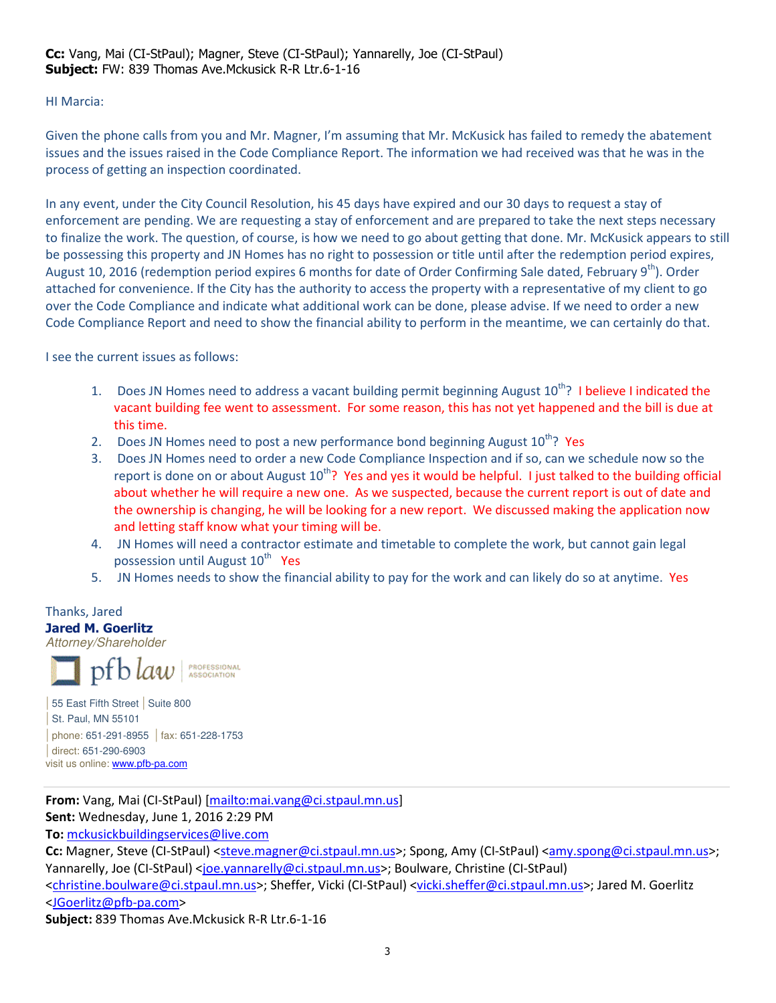# HI Marcia:

Given the phone calls from you and Mr. Magner, I'm assuming that Mr. McKusick has failed to remedy the abatement issues and the issues raised in the Code Compliance Report. The information we had received was that he was in the process of getting an inspection coordinated.

In any event, under the City Council Resolution, his 45 days have expired and our 30 days to request a stay of enforcement are pending. We are requesting a stay of enforcement and are prepared to take the next steps necessary to finalize the work. The question, of course, is how we need to go about getting that done. Mr. McKusick appears to still be possessing this property and JN Homes has no right to possession or title until after the redemption period expires, August 10, 2016 (redemption period expires 6 months for date of Order Confirming Sale dated, February 9<sup>th</sup>). Order attached for convenience. If the City has the authority to access the property with a representative of my client to go over the Code Compliance and indicate what additional work can be done, please advise. If we need to order a new Code Compliance Report and need to show the financial ability to perform in the meantime, we can certainly do that.

I see the current issues as follows:

- 1. Does JN Homes need to address a vacant building permit beginning August 10<sup>th</sup>? I believe I indicated the vacant building fee went to assessment. For some reason, this has not yet happened and the bill is due at this time.
- 2. Does JN Homes need to post a new performance bond beginning August  $10^{th}$ ? Yes
- 3. Does JN Homes need to order a new Code Compliance Inspection and if so, can we schedule now so the report is done on or about August  $10^{th}$ ? Yes and yes it would be helpful. I just talked to the building official about whether he will require a new one. As we suspected, because the current report is out of date and the ownership is changing, he will be looking for a new report. We discussed making the application now and letting staff know what your timing will be.
- 4. JN Homes will need a contractor estimate and timetable to complete the work, but cannot gain legal possession until August 10<sup>th</sup> Yes
- 5. JN Homes needs to show the financial ability to pay for the work and can likely do so at anytime. Yes

Thanks, Jared Jared M. Goerlitz Attorney/Shareholder PROFESSIONAL | 55 East Fifth Street | Suite 800 | St. Paul, MN 55101

| phone: 651-291-8955 | fax: 651-228-1753 | direct: 651-290-6903 visit us online: **www.pfb-pa.com** 

From: Vang, Mai (CI-StPaul) [mailto:mai.vang@ci.stpaul.mn.us] Sent: Wednesday, June 1, 2016 2:29 PM

To: mckusickbuildingservices@live.com

Cc: Magner, Steve (CI-StPaul) <steve.magner@ci.stpaul.mn.us>; Spong, Amy (CI-StPaul) <amy.spong@ci.stpaul.mn.us>; Yannarelly, Joe (CI-StPaul) <joe.yannarelly@ci.stpaul.mn.us>; Boulware, Christine (CI-StPaul)

<christine.boulware@ci.stpaul.mn.us>; Sheffer, Vicki (CI-StPaul) <vicki.sheffer@ci.stpaul.mn.us>; Jared M. Goerlitz <JGoerlitz@pfb-pa.com>

Subject: 839 Thomas Ave.Mckusick R-R Ltr.6-1-16